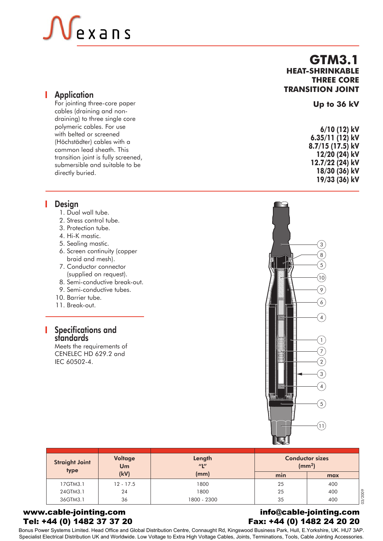# exans

For jointing three-core paper cables (draining and nondraining) to three single core polymeric cables. For use with belted or screened (Höchstädter) cables with a common lead sheath. This transition joint is fully screened, submersible and suitable to be directly buried.

# **Design**

- 1. Dual wall tube.
- 2. Stress control tube.
- 3. Protection tube.
- 4. Hi-K mastic.
- 5. Sealing mastic.
- 6. Screen continuity (copper braid and mesh).
- 7. Conductor connector (supplied on request).
- 8. Semi-conductive break-out.
- 9. Semi-conductive tubes.
- 10. Barrier tube.
- 11. Break-out.

# Specifications and standards

Meets the requirements of CENELEC HD 629.2 and IEC 60502-4.

# $\left(3\right)$ 8  $\sqrt{5}$  $\left(10\right)$ 9  $6<sub>2</sub>$ 4 1 7 E  $\boxed{2}$  $\left(3\right)$  $\left( 4\right)$  $\left(5\right)$  $(11)$

| <b>Straight Joint</b><br>type | Voltage<br>Um | Length<br>$^{\prime\prime}$ | <b>Conductor sizes</b><br>(mm <sup>2</sup> ) |     |
|-------------------------------|---------------|-----------------------------|----------------------------------------------|-----|
|                               | (kV)          | (mm)                        | min                                          | max |
| 17GTM3.1                      | $12 - 17.5$   | 1800                        | 25                                           | 400 |
| 24GTM3.1                      | 24            | 1800                        | 25                                           | 400 |
| 36GTM3.1                      | 36            | 1800 - 2300                 | 35                                           | 400 |

## www.cable-jointing.com Tel: +44 (0) 1482 37 37 20

# info@cable-jointing.com Fax: +44 (0) 1482 24 20 20

Bonus Power Systems Limited. Head Office and Global Distribution Centre, Connaught Rd, Kingswood Business Park, Hull, E.Yorkshire, UK. HU7 3AP. Specialist Electrical Distribution UK and Worldwide. Low Voltage to Extra High Voltage Cables, Joints, Terminations, Tools, Cable Jointing Accessories.

# **GTM3.1 HEAT-SHRINKABLE THREE CORE TRANSITION JOINT** Application



**18/30 (36) kV 19/33 (36) kV**

**Up to 36 kV**